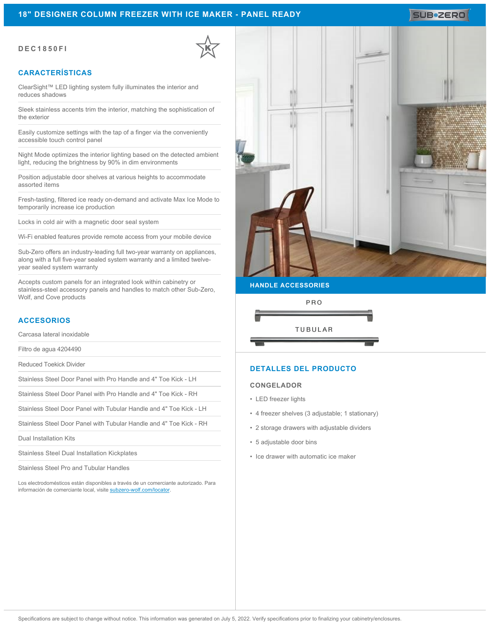## **18" DESIGNER COLUMN FREEZER WITH ICE MAKER - PANEL READY**

# SUB**\*ZERO**

#### **DEC1850FI**

# **CARACTERÍSTICAS**

ClearSight™ LED lighting system fully illuminates the interior and reduces shadows

Sleek stainless accents trim the interior, matching the sophistication of the exterior

Easily customize settings with the tap of a finger via the conveniently accessible touch control panel

Night Mode optimizes the interior lighting based on the detected ambient light, reducing the brightness by 90% in dim environments

Position adjustable door shelves at various heights to accommodate assorted items

Fresh-tasting, filtered ice ready on-demand and activate Max Ice Mode to temporarily increase ice production

Locks in cold air with a magnetic door seal system

Wi-Fi enabled features provide remote access from your mobile device

Sub-Zero offers an industry-leading full two-year warranty on appliances, along with a full five-year sealed system warranty and a limited twelveyear sealed system warranty

Accepts custom panels for an integrated look within cabinetry or stainless-steel accessory panels and handles to match other Sub-Zero, Wolf, and Cove products

#### **ACCESORIOS**

Carcasa lateral inoxidable

Filtro de agua 4204490

Reduced Toekick Divider

Stainless Steel Door Panel with Pro Handle and 4" Toe Kick - LH

Stainless Steel Door Panel with Pro Handle and 4" Toe Kick - RH

Stainless Steel Door Panel with Tubular Handle and 4" Toe Kick - LH

Stainless Steel Door Panel with Tubular Handle and 4" Toe Kick - RH

Dual Installation Kits

Stainless Steel Dual Installation Kickplates

Stainless Steel Pro and Tubular Handles

Los electrodomésticos están disponibles a través de un comerciante autorizado. Para información de comerciante local, visite [subzero-wolf.com/locator](http://www.subzero-wolf.com/locator).



**HANDLE ACCESSORIES**



### **DETALLES DEL PRODUCTO**

#### **CONGELADOR**

- LED freezer lights
- 4 freezer shelves (3 adjustable; 1 stationary)
- 2 storage drawers with adjustable dividers
- 5 adjustable door bins
- Ice drawer with automatic ice maker